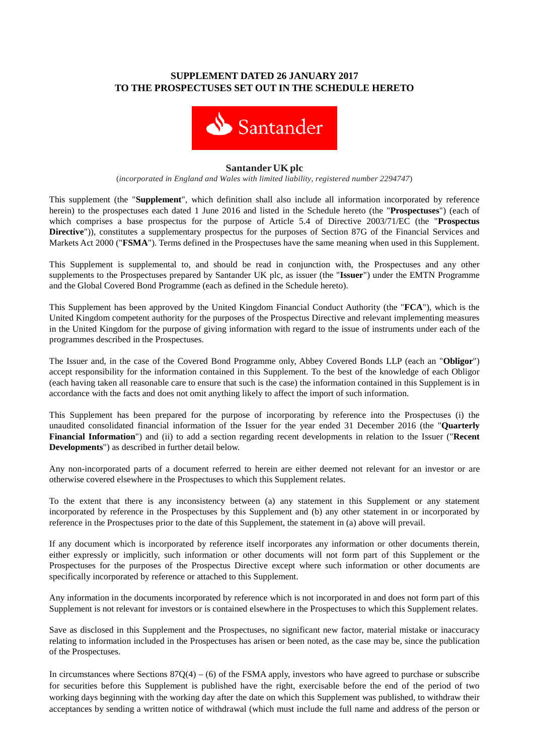# **SUPPLEMENT DATED 26 JANUARY 2017 TO THE PROSPECTUSES SET OUT IN THE SCHEDULE HERETO**



### **SantanderUKplc**

(*incorporated in England and Wales with limited liability, registered number 2294747*)

This supplement (the "**Supplement**", which definition shall also include all information incorporated by reference herein) to the prospectuses each dated 1 June 2016 and listed in the Schedule hereto (the "**Prospectuses**") (each of which comprises a base prospectus for the purpose of Article 5.4 of Directive 2003/71/EC (the "**Prospectus Directive**")), constitutes a supplementary prospectus for the purposes of Section 87G of the Financial Services and Markets Act 2000 ("**FSMA**"). Terms defined in the Prospectuses have the same meaning when used in this Supplement.

This Supplement is supplemental to, and should be read in conjunction with, the Prospectuses and any other supplements to the Prospectuses prepared by Santander UK plc, as issuer (the "**Issuer**") under the EMTN Programme and the Global Covered Bond Programme (each as defined in the Schedule hereto).

This Supplement has been approved by the United Kingdom Financial Conduct Authority (the "**FCA**"), which is the United Kingdom competent authority for the purposes of the Prospectus Directive and relevant implementing measures in the United Kingdom for the purpose of giving information with regard to the issue of instruments under each of the programmes described in the Prospectuses.

The Issuer and, in the case of the Covered Bond Programme only, Abbey Covered Bonds LLP (each an "**Obligor**") accept responsibility for the information contained in this Supplement. To the best of the knowledge of each Obligor (each having taken all reasonable care to ensure that such is the case) the information contained in this Supplement is in accordance with the facts and does not omit anything likely to affect the import of such information.

This Supplement has been prepared for the purpose of incorporating by reference into the Prospectuses (i) the unaudited consolidated financial information of the Issuer for the year ended 31 December 2016 (the "**Quarterly Financial Information**") and (ii) to add a section regarding recent developments in relation to the Issuer ("**Recent Developments**") as described in further detail below.

Any non-incorporated parts of a document referred to herein are either deemed not relevant for an investor or are otherwise covered elsewhere in the Prospectuses to which this Supplement relates.

To the extent that there is any inconsistency between (a) any statement in this Supplement or any statement incorporated by reference in the Prospectuses by this Supplement and (b) any other statement in or incorporated by reference in the Prospectuses prior to the date of this Supplement, the statement in (a) above will prevail.

If any document which is incorporated by reference itself incorporates any information or other documents therein, either expressly or implicitly, such information or other documents will not form part of this Supplement or the Prospectuses for the purposes of the Prospectus Directive except where such information or other documents are specifically incorporated by reference or attached to this Supplement.

Any information in the documents incorporated by reference which is not incorporated in and does not form part of this Supplement is not relevant for investors or is contained elsewhere in the Prospectuses to which this Supplement relates.

Save as disclosed in this Supplement and the Prospectuses, no significant new factor, material mistake or inaccuracy relating to information included in the Prospectuses has arisen or been noted, as the case may be, since the publication of the Prospectuses.

In circumstances where Sections  $87Q(4) - (6)$  of the FSMA apply, investors who have agreed to purchase or subscribe for securities before this Supplement is published have the right, exercisable before the end of the period of two working days beginning with the working day after the date on which this Supplement was published, to withdraw their acceptances by sending a written notice of withdrawal (which must include the full name and address of the person or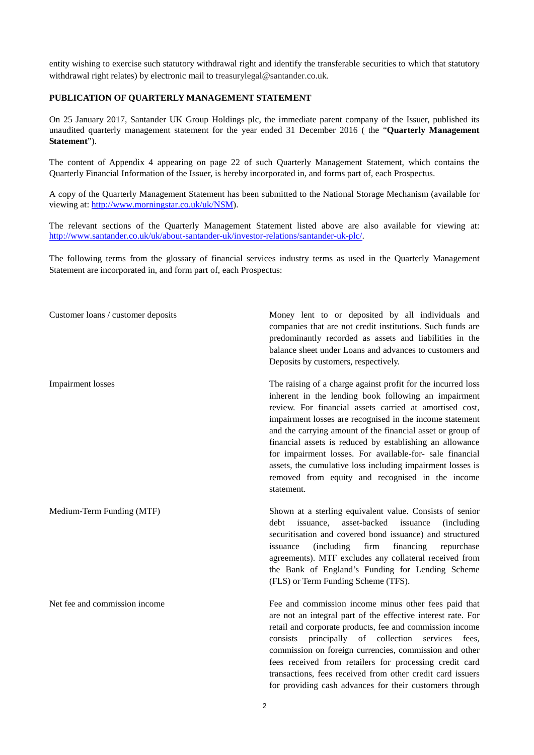entity wishing to exercise such statutory withdrawal right and identify the transferable securities to which that statutory withdrawal right relates) by electronic mail to treasurylegal@santander.co.uk.

## **PUBLICATION OF QUARTERLY MANAGEMENT STATEMENT**

On 25 January 2017, Santander UK Group Holdings plc, the immediate parent company of the Issuer, published its unaudited quarterly management statement for the year ended 31 December 2016 ( the "**Quarterly Management Statement**").

The content of Appendix 4 appearing on page 22 of such Quarterly Management Statement, which contains the Quarterly Financial Information of the Issuer, is hereby incorporated in, and forms part of, each Prospectus.

A copy of the Quarterly Management Statement has been submitted to the National Storage Mechanism (available for viewing at: http://www.morningstar.co.uk/uk/NSM).

The relevant sections of the Quarterly Management Statement listed above are also available for viewing at: [http://www.santander.co.uk/uk/about-santander-uk/investor-relations/santander-uk-plc/.](http://www.santander.co.uk/uk/about-santander-uk/investor-relations/santander-uk-plc/)

The following terms from the glossary of financial services industry terms as used in the Quarterly Management Statement are incorporated in, and form part of, each Prospectus:

Customer loans / customer deposits Money lent to or deposited by all individuals and companies that are not credit institutions. Such funds are predominantly recorded as assets and liabilities in the balance sheet under Loans and advances to customers and Deposits by customers, respectively.

Impairment losses The raising of a charge against profit for the incurred loss inherent in the lending book following an impairment review. For financial assets carried at amortised cost, impairment losses are recognised in the income statement and the carrying amount of the financial asset or group of financial assets is reduced by establishing an allowance for impairment losses. For available-for- sale financial assets, the cumulative loss including impairment losses is removed from equity and recognised in the income statement.

Medium-Term Funding (MTF) Shown at a sterling equivalent value. Consists of senior debt issuance, asset-backed issuance (including securitisation and covered bond issuance) and structured issuance (including firm financing repurchase agreements). MTF excludes any collateral received from the Bank of England's Funding for Lending Scheme (FLS) or Term Funding Scheme (TFS).

Net fee and commission income Fee and commission income minus other fees paid that are not an integral part of the effective interest rate. For retail and corporate products, fee and commission income consists principally of collection services fees, commission on foreign currencies, commission and other fees received from retailers for processing credit card transactions, fees received from other credit card issuers for providing cash advances for their customers through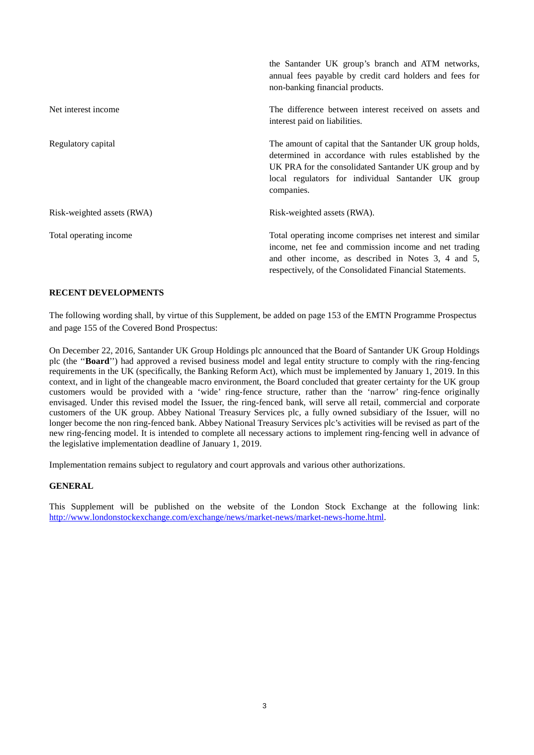|                            | the Santander UK group's branch and ATM networks,<br>annual fees payable by credit card holders and fees for<br>non-banking financial products.                                                                                                 |
|----------------------------|-------------------------------------------------------------------------------------------------------------------------------------------------------------------------------------------------------------------------------------------------|
| Net interest income        | The difference between interest received on assets and<br>interest paid on liabilities.                                                                                                                                                         |
| Regulatory capital         | The amount of capital that the Santander UK group holds,<br>determined in accordance with rules established by the<br>UK PRA for the consolidated Santander UK group and by<br>local regulators for individual Santander UK group<br>companies. |
| Risk-weighted assets (RWA) | Risk-weighted assets (RWA).                                                                                                                                                                                                                     |
| Total operating income     | Total operating income comprises net interest and similar<br>income, net fee and commission income and net trading<br>and other income, as described in Notes 3, 4 and 5,<br>respectively, of the Consolidated Financial Statements.            |

## **RECENT DEVELOPMENTS**

The following wording shall, by virtue of this Supplement, be added on page 153 of the EMTN Programme Prospectus and page 155 of the Covered Bond Prospectus:

On December 22, 2016, Santander UK Group Holdings plc announced that the Board of Santander UK Group Holdings plc (the ''**Board**'') had approved a revised business model and legal entity structure to comply with the ring-fencing requirements in the UK (specifically, the Banking Reform Act), which must be implemented by January 1, 2019. In this context, and in light of the changeable macro environment, the Board concluded that greater certainty for the UK group customers would be provided with a 'wide' ring-fence structure, rather than the 'narrow' ring-fence originally envisaged. Under this revised model the Issuer, the ring-fenced bank, will serve all retail, commercial and corporate customers of the UK group. Abbey National Treasury Services plc, a fully owned subsidiary of the Issuer, will no longer become the non ring-fenced bank. Abbey National Treasury Services plc's activities will be revised as part of the new ring-fencing model. It is intended to complete all necessary actions to implement ring-fencing well in advance of the legislative implementation deadline of January 1, 2019.

Implementation remains subject to regulatory and court approvals and various other authorizations.

#### **GENERAL**

This Supplement will be published on the website of the London Stock Exchange at the following link: http://www.londonstockexchange.com/exchange/news/market-news/market-news-home.html.